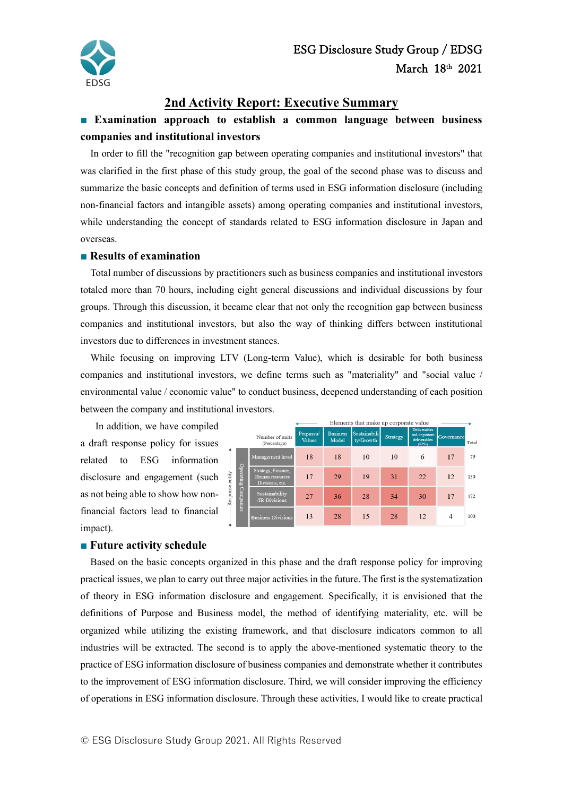

### **2nd Activity Report: Executive Summary**

## **■ Examination approach to establish a common language between business companies and institutional investors**

In order to fill the "recognition gap between operating companies and institutional investors" that was clarified in the first phase of this study group, the goal of the second phase was to discuss and summarize the basic concepts and definition of terms used in ESG information disclosure (including non-financial factors and intangible assets) among operating companies and institutional investors, while understanding the concept of standards related to ESG information disclosure in Japan and overseas.

#### **■ Results of examination**

Total number of discussions by practitioners such as business companies and institutional investors totaled more than 70 hours, including eight general discussions and individual discussions by four groups. Through this discussion, it became clear that not only the recognition gap between business companies and institutional investors, but also the way of thinking differs between institutional investors due to differences in investment stances.

While focusing on improving LTV (Long-term Value), which is desirable for both business companies and institutional investors, we define terms such as "materiality" and "social value / environmental value / economic value" to conduct business, deepened understanding of each position between the company and institutional investors.

In addition, we have compiled a draft response policy for issues related to ESG information disclosure and engagement (such as not being able to show how nonfinancial factors lead to financial impact).

|                     |                                                          |                     | Elements that make up corporate value |                           |          |                                                         |            |       |
|---------------------|----------------------------------------------------------|---------------------|---------------------------------------|---------------------------|----------|---------------------------------------------------------|------------|-------|
|                     | Number of units<br>(Percentage)                          | Perpassu/<br>Values | <b>Business</b><br>Model              | Sustainabili<br>ty/Growth | Strategy | Deliverables<br>and important<br>deliverables<br>(KPIs) | Governance | Total |
| Operating Companies | Management level                                         | 18                  | 18                                    | 10                        | 10       | 6                                                       | 17         | 79    |
|                     | Strategy, Finance,<br>Human resources<br>Divisions, etc. | 17                  | 29                                    | 19                        | 31       | 22                                                      | 12         | 130   |
|                     | Sustainability<br>/IR Divisions                          | 27                  | 36                                    | 28                        | 34       | 30                                                      | 17         | 172   |
|                     | <b>Business Divisions</b>                                | 13                  | 28                                    | 15                        | 28       | 12                                                      | 4          | 100   |

#### **■ Future activity schedule**

Based on the basic concepts organized in this phase and the draft response policy for improving practical issues, we plan to carry out three major activities in the future. The first is the systematization of theory in ESG information disclosure and engagement. Specifically, it is envisioned that the definitions of Purpose and Business model, the method of identifying materiality, etc. will be organized while utilizing the existing framework, and that disclosure indicators common to all industries will be extracted. The second is to apply the above-mentioned systematic theory to the practice of ESG information disclosure of business companies and demonstrate whether it contributes to the improvement of ESG information disclosure. Third, we will consider improving the efficiency of operations in ESG information disclosure. Through these activities, I would like to create practical